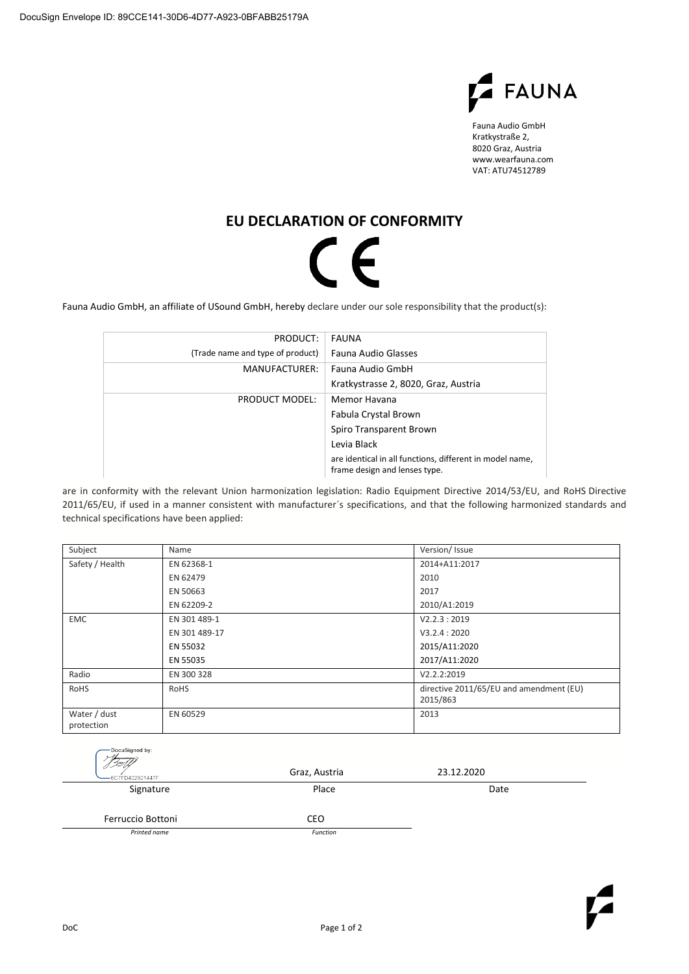

Fauna Audio GmbH Kratkystraße 2, 8020 Graz, Austria www.wearfauna.com VAT: ATU74512789

## **EU DECLARATION OF CONFORMITY**

## $\mathsf{C}\mathsf{F}$

Fauna Audio GmbH, an affiliate of USound GmbH, hereby declare under our sole responsibility that the product(s):

| PRODUCT:                         | FAUNA                                                                                     |  |
|----------------------------------|-------------------------------------------------------------------------------------------|--|
| (Trade name and type of product) | Fauna Audio Glasses                                                                       |  |
| MANUFACTURER:                    | Fauna Audio GmbH                                                                          |  |
|                                  | Kratkystrasse 2, 8020, Graz, Austria                                                      |  |
| PRODUCT MODEL:                   | Memor Havana                                                                              |  |
|                                  | Fabula Crystal Brown                                                                      |  |
|                                  | Spiro Transparent Brown                                                                   |  |
|                                  | Levia Black                                                                               |  |
|                                  | are identical in all functions, different in model name,<br>frame design and lenses type. |  |

are in conformity with the relevant Union harmonization legislation: Radio Equipment Directive 2014/53/EU, and RoHS Directive 2011/65/EU, if used in a manner consistent with manufacturer´s specifications, and that the following harmonized standards and technical specifications have been applied:

| Subject                    | Name          | Version/Issue                                       |
|----------------------------|---------------|-----------------------------------------------------|
| Safety / Health            | EN 62368-1    | 2014+A11:2017                                       |
|                            | EN 62479      | 2010                                                |
|                            | EN 50663      | 2017                                                |
|                            | EN 62209-2    | 2010/A1:2019                                        |
| <b>EMC</b>                 | EN 301 489-1  | V2.2.3:2019                                         |
|                            | EN 301 489-17 | V3.2.4:2020                                         |
|                            | EN 55032      | 2015/A11:2020                                       |
|                            | EN 55035      | 2017/A11:2020                                       |
| Radio                      | EN 300 328    | V2.2.2:2019                                         |
| RoHS                       | <b>RoHS</b>   | directive 2011/65/EU and amendment (EU)<br>2015/863 |
| Water / dust<br>protection | EN 60529      | 2013                                                |

| DocuSigned by:<br>-6C7FD402921447F | Graz, Austria | 23.12.2020 |  |
|------------------------------------|---------------|------------|--|
| Signature                          | Place         | Date       |  |
| Ferruccio Bottoni                  | <b>CEO</b>    |            |  |
| Printed name                       | Function      |            |  |